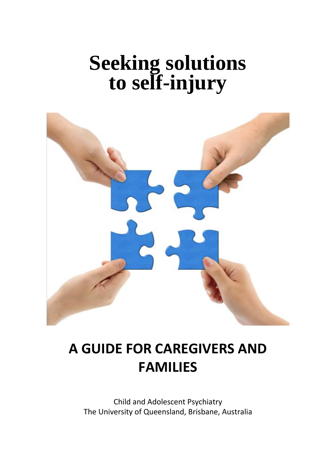# **Seeking solutions to self-injury**



## **A GUIDE FOR CAREGIVERS AND FAMILIES**

Child and Adolescent Psychiatry The University of Queensland, Brisbane, Australia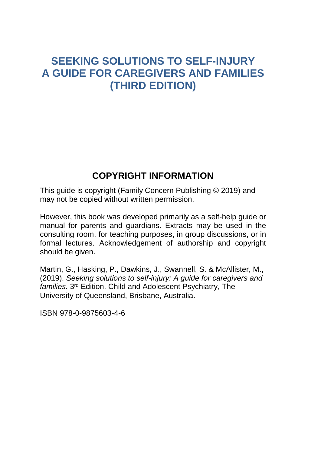#### **SEEKING SOLUTIONS TO SELF-INJURY A GUIDE FOR CAREGIVERS AND FAMILIES (THIRD EDITION)**

#### **COPYRIGHT INFORMATION**

This guide is copyright (Family Concern Publishing © 2019) and may not be copied without written permission.

However, this book was developed primarily as a self-help guide or manual for parents and guardians. Extracts may be used in the consulting room, for teaching purposes, in group discussions, or in formal lectures. Acknowledgement of authorship and copyright should be given.

Martin, G., Hasking, P., Dawkins, J., Swannell, S. & McAllister, M., (2019). *Seeking solutions to self-injury: A guide for caregivers and*  families. 3<sup>rd</sup> Edition. Child and Adolescent Psychiatry, The University of Queensland, Brisbane, Australia.

ISBN 978-0-9875603-4-6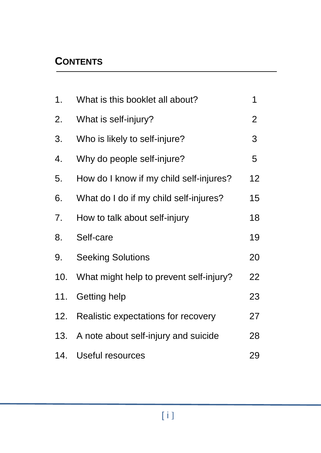#### **CONTENTS**

| 1.  | What is this booklet all about?         | 1              |
|-----|-----------------------------------------|----------------|
| 2.  | What is self-injury?                    | $\overline{2}$ |
| 3.  | Who is likely to self-injure?           | 3              |
| 4.  | Why do people self-injure?              | 5              |
| 5.  | How do I know if my child self-injures? | 12             |
| 6.  | What do I do if my child self-injures?  | 15             |
| 7.  | How to talk about self-injury           | 18             |
| 8.  | Self-care                               | 19             |
| 9.  | <b>Seeking Solutions</b>                | 20             |
| 10. | What might help to prevent self-injury? | 22             |
| 11. | Getting help                            | 23             |
| 12. | Realistic expectations for recovery     | 27             |
| 13. | A note about self-injury and suicide    | 28             |
| 14. | Useful resources                        | 29             |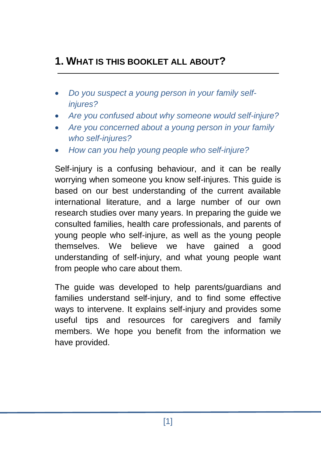#### **1. WHAT IS THIS BOOKLET ALL ABOUT?**

- *Do you suspect a young person in your family selfinjures?*
- *Are you confused about why someone would self-injure?*
- *Are you concerned about a young person in your family who self-injures?*
- *How can you help young people who self-injure?*

Self-injury is a confusing behaviour, and it can be really worrying when someone you know self-injures. This guide is based on our best understanding of the current available international literature, and a large number of our own research studies over many years. In preparing the guide we consulted families, health care professionals, and parents of young people who self-injure, as well as the young people themselves. We believe we have gained a good understanding of self-injury, and what young people want from people who care about them.

The guide was developed to help parents/guardians and families understand self-injury, and to find some effective ways to intervene. It explains self-injury and provides some useful tips and resources for caregivers and family members. We hope you benefit from the information we have provided.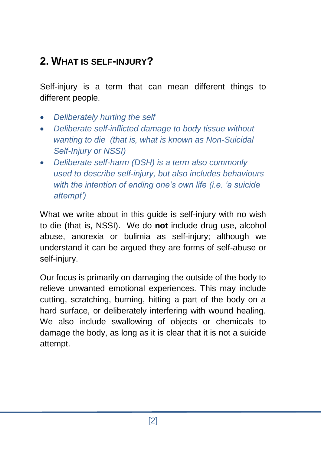## **2. WHAT IS SELF-INJURY?**

Self-injury is a term that can mean different things to different people.

- *Deliberately hurting the self*
- *Deliberate self-inflicted damage to body tissue without wanting to die (that is, what is known as Non-Suicidal Self-Injury or NSSI)*
- *Deliberate self-harm (DSH) is a term also commonly used to describe self-injury, but also includes behaviours with the intention of ending one's own life (i.e. 'a suicide attempt')*

What we write about in this quide is self-injury with no wish to die (that is, NSSI). We do **not** include drug use, alcohol abuse, anorexia or bulimia as self-injury; although we understand it can be argued they are forms of self-abuse or self-injury.

Our focus is primarily on damaging the outside of the body to relieve unwanted emotional experiences. This may include cutting, scratching, burning, hitting a part of the body on a hard surface, or deliberately interfering with wound healing. We also include swallowing of objects or chemicals to damage the body, as long as it is clear that it is not a suicide attempt.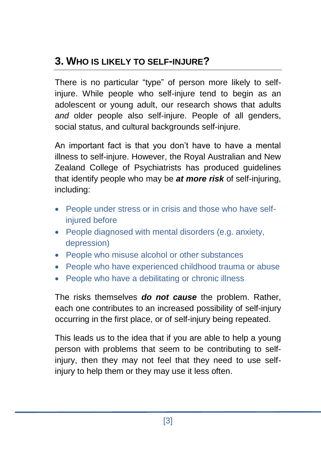## **3. WHO IS LIKELY TO SELF-INJURE?**

There is no particular "type" of person more likely to selfinjure. While people who self-injure tend to begin as an adolescent or young adult, our research shows that adults *and* older people also self-injure. People of all genders, social status, and cultural backgrounds self-injure.

An important fact is that you don't have to have a mental illness to self-injure. However, the Royal Australian and New Zealand College of Psychiatrists has produced guidelines that identify people who may be *at more risk* of self-injuring, including:

- People under stress or in crisis and those who have selfinjured before
- People diagnosed with mental disorders (e.g. anxiety, depression)
- People who misuse alcohol or other substances
- People who have experienced childhood trauma or abuse
- People who have a debilitating or chronic illness

The risks themselves *do not cause* the problem. Rather, each one contributes to an increased possibility of self-injury occurring in the first place, or of self-injury being repeated.

This leads us to the idea that if you are able to help a young person with problems that seem to be contributing to selfinjury, then they may not feel that they need to use selfinjury to help them or they may use it less often.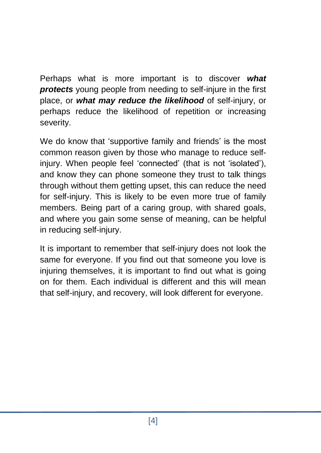Perhaps what is more important is to discover *what protects* young people from needing to self-injure in the first place, or *what may reduce the likelihood* of self-injury, or perhaps reduce the likelihood of repetition or increasing severity.

We do know that 'supportive family and friends' is the most common reason given by those who manage to reduce selfinjury. When people feel 'connected' (that is not 'isolated'), and know they can phone someone they trust to talk things through without them getting upset, this can reduce the need for self-injury. This is likely to be even more true of family members. Being part of a caring group, with shared goals, and where you gain some sense of meaning, can be helpful in reducing self-injury.

It is important to remember that self-injury does not look the same for everyone. If you find out that someone you love is injuring themselves, it is important to find out what is going on for them. Each individual is different and this will mean that self-injury, and recovery, will look different for everyone.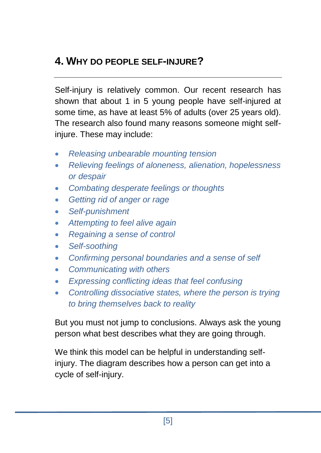### **4. WHY DO PEOPLE SELF-INJURE?**

Self-injury is relatively common. Our recent research has shown that about 1 in 5 young people have self-injured at some time, as have at least 5% of adults (over 25 years old). The research also found many reasons someone might selfinjure. These may include:

- *Releasing unbearable mounting tension*
- *Relieving feelings of aloneness, alienation, hopelessness or despair*
- *Combating desperate feelings or thoughts*
- *Getting rid of anger or rage*
- *Self-punishment*
- *Attempting to feel alive again*
- *Regaining a sense of control*
- *Self-soothing*
- *Confirming personal boundaries and a sense of self*
- *Communicating with others*
- *Expressing conflicting ideas that feel confusing*
- *Controlling dissociative states, where the person is trying to bring themselves back to reality*

But you must not jump to conclusions. Always ask the young person what best describes what they are going through.

We think this model can be helpful in understanding selfinjury. The diagram describes how a person can get into a cycle of self-injury.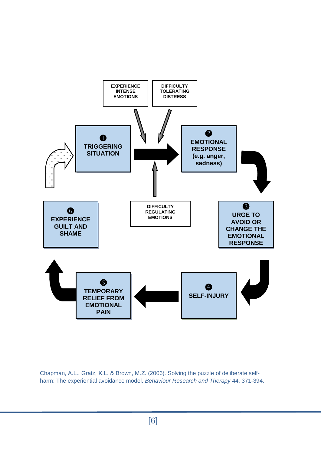

Chapman, A.L., Gratz, K.L. & Brown, M.Z. (2006). Solving the puzzle of deliberate selfharm: The experiential avoidance model. *Behaviour Research and Therapy* 44, 371-394.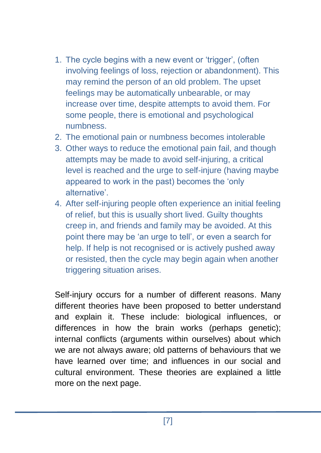- 1. The cycle begins with a new event or 'trigger', (often involving feelings of loss, rejection or abandonment). This may remind the person of an old problem. The upset feelings may be automatically unbearable, or may increase over time, despite attempts to avoid them. For some people, there is emotional and psychological numbness.
- 2. The emotional pain or numbness becomes intolerable
- 3. Other ways to reduce the emotional pain fail, and though attempts may be made to avoid self-injuring, a critical level is reached and the urge to self-injure (having maybe appeared to work in the past) becomes the 'only alternative'.
- 4. After self-injuring people often experience an initial feeling of relief, but this is usually short lived. Guilty thoughts creep in, and friends and family may be avoided. At this point there may be 'an urge to tell', or even a search for help. If help is not recognised or is actively pushed away or resisted, then the cycle may begin again when another triggering situation arises.

Self-injury occurs for a number of different reasons. Many different theories have been proposed to better understand and explain it. These include: biological influences, or differences in how the brain works (perhaps genetic); internal conflicts (arguments within ourselves) about which we are not always aware; old patterns of behaviours that we have learned over time; and influences in our social and cultural environment. These theories are explained a little more on the next page.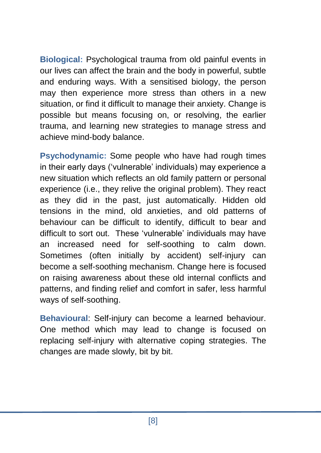**Biological:** Psychological trauma from old painful events in our lives can affect the brain and the body in powerful, subtle and enduring ways. With a sensitised biology, the person may then experience more stress than others in a new situation, or find it difficult to manage their anxiety. Change is possible but means focusing on, or resolving, the earlier trauma, and learning new strategies to manage stress and achieve mind-body balance.

**Psychodynamic:** Some people who have had rough times in their early days ('vulnerable' individuals) may experience a new situation which reflects an old family pattern or personal experience (i.e., they relive the original problem). They react as they did in the past, just automatically. Hidden old tensions in the mind, old anxieties, and old patterns of behaviour can be difficult to identify, difficult to bear and difficult to sort out. These 'vulnerable' individuals may have an increased need for self-soothing to calm down. Sometimes (often initially by accident) self-injury can become a self-soothing mechanism. Change here is focused on raising awareness about these old internal conflicts and patterns, and finding relief and comfort in safer, less harmful ways of self-soothing.

**Behavioural**: Self-injury can become a learned behaviour. One method which may lead to change is focused on replacing self-injury with alternative coping strategies. The changes are made slowly, bit by bit.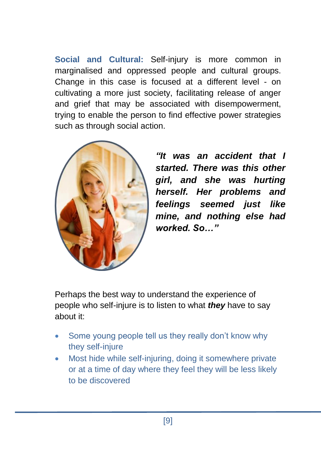**Social and Cultural:** Self-injury is more common in marginalised and oppressed people and cultural groups. Change in this case is focused at a different level - on cultivating a more just society, facilitating release of anger and grief that may be associated with disempowerment, trying to enable the person to find effective power strategies such as through social action.



*"It was an accident that I started. There was this other girl, and she was hurting herself. Her problems and feelings seemed just like mine, and nothing else had worked. So…"*

Perhaps the best way to understand the experience of people who self-injure is to listen to what *they* have to say about it:

- Some young people tell us they really don't know why they self-injure
- Most hide while self-injuring, doing it somewhere private or at a time of day where they feel they will be less likely to be discovered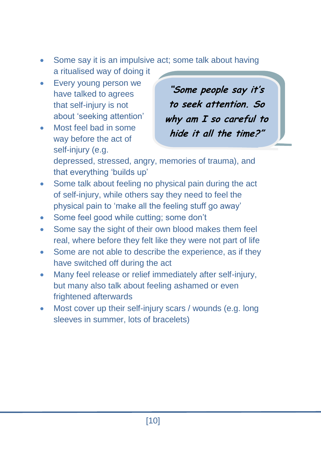- Some say it is an impulsive act; some talk about having a ritualised way of doing it
- Every young person we have talked to agrees that self-injury is not about 'seeking attention'
- Most feel bad in some way before the act of self-injury (e.g.

**"Some people say it's to seek attention. So why am I so careful to hide it all the time?"**

depressed, stressed, angry, memories of trauma), and that everything 'builds up'

- Some talk about feeling no physical pain during the act of self-injury, while others say they need to feel the physical pain to 'make all the feeling stuff go away'
- Some feel good while cutting; some don't
- Some say the sight of their own blood makes them feel real, where before they felt like they were not part of life
- Some are not able to describe the experience, as if they have switched off during the act
- Many feel release or relief immediately after self-injury, but many also talk about feeling ashamed or even frightened afterwards
- Most cover up their self-injury scars / wounds (e.g. long sleeves in summer, lots of bracelets)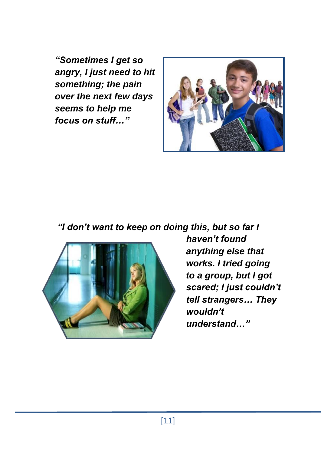*"Sometimes I get so angry, I just need to hit something; the pain over the next few days seems to help me focus on stuff…"*



*"I don't want to keep on doing this, but so far I* 



*haven't found anything else that works. I tried going to a group, but I got scared; I just couldn't tell strangers… They wouldn't understand…"*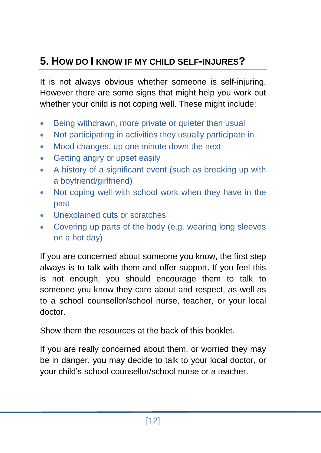## **5. HOW DO I KNOW IF MY CHILD SELF-INJURES?**

It is not always obvious whether someone is self-injuring. However there are some signs that might help you work out whether your child is not coping well. These might include:

- Being withdrawn, more private or quieter than usual
- Not participating in activities they usually participate in
- Mood changes, up one minute down the next
- Getting angry or upset easily
- A history of a significant event (such as breaking up with a boyfriend/girlfriend)
- Not coping well with school work when they have in the past
- Unexplained cuts or scratches
- Covering up parts of the body (e.g. wearing long sleeves on a hot day)

If you are concerned about someone you know, the first step always is to talk with them and offer support. If you feel this is not enough, you should encourage them to talk to someone you know they care about and respect, as well as to a school counsellor/school nurse, teacher, or your local doctor.

Show them the resources at the back of this booklet.

If you are really concerned about them, or worried they may be in danger, you may decide to talk to your local doctor, or your child's school counsellor/school nurse or a teacher.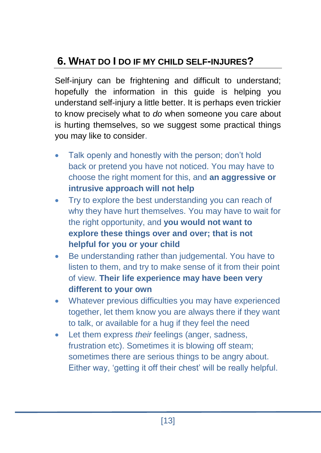## **6. WHAT DO I DO IF MY CHILD SELF-INJURES?**

Self-injury can be frightening and difficult to understand; hopefully the information in this guide is helping you understand self-injury a little better. It is perhaps even trickier to know precisely what to *do* when someone you care about is hurting themselves, so we suggest some practical things you may like to consider.

- Talk openly and honestly with the person; don't hold back or pretend you have not noticed. You may have to choose the right moment for this, and **an aggressive or intrusive approach will not help**
- Try to explore the best understanding you can reach of why they have hurt themselves. You may have to wait for the right opportunity, and **you would not want to explore these things over and over; that is not helpful for you or your child**
- Be understanding rather than judgemental. You have to listen to them, and try to make sense of it from their point of view. **Their life experience may have been very different to your own**
- Whatever previous difficulties you may have experienced together, let them know you are always there if they want to talk, or available for a hug if they feel the need
- Let them express *their* feelings (anger, sadness, frustration etc). Sometimes it is blowing off steam; sometimes there are serious things to be angry about. Either way, 'getting it off their chest' will be really helpful.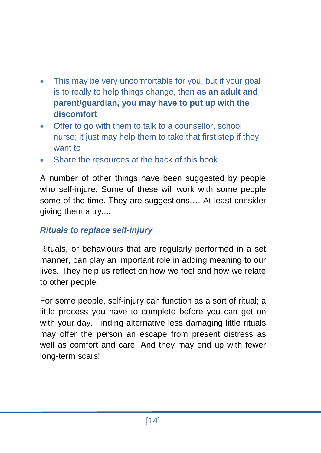- This may be very uncomfortable for you, but if your goal is to really to help things change, then **as an adult and parent/guardian, you may have to put up with the discomfort**
- Offer to go with them to talk to a counsellor, school nurse; it just may help them to take that first step if they want to
- Share the resources at the back of this book

A number of other things have been suggested by people who self-injure. Some of these will work with some people some of the time. They are suggestions…. At least consider giving them a try....

#### *Rituals to replace self-injury*

Rituals, or behaviours that are regularly performed in a set manner, can play an important role in adding meaning to our lives. They help us reflect on how we feel and how we relate to other people.

For some people, self-injury can function as a sort of ritual; a little process you have to complete before you can get on with your day. Finding alternative less damaging little rituals may offer the person an escape from present distress as well as comfort and care. And they may end up with fewer long-term scars!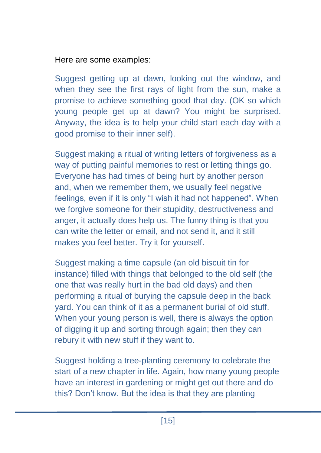#### Here are some examples:

Suggest getting up at dawn, looking out the window, and when they see the first rays of light from the sun, make a promise to achieve something good that day. (OK so which young people get up at dawn? You might be surprised. Anyway, the idea is to help your child start each day with a good promise to their inner self).

Suggest making a ritual of writing letters of forgiveness as a way of putting painful memories to rest or letting things go. Everyone has had times of being hurt by another person and, when we remember them, we usually feel negative feelings, even if it is only "I wish it had not happened". When we forgive someone for their stupidity, destructiveness and anger, it actually does help us. The funny thing is that you can write the letter or email, and not send it, and it still makes you feel better. Try it for yourself.

Suggest making a time capsule (an old biscuit tin for instance) filled with things that belonged to the old self (the one that was really hurt in the bad old days) and then performing a ritual of burying the capsule deep in the back yard. You can think of it as a permanent burial of old stuff. When your young person is well, there is always the option of digging it up and sorting through again; then they can rebury it with new stuff if they want to.

Suggest holding a tree-planting ceremony to celebrate the start of a new chapter in life. Again, how many young people have an interest in gardening or might get out there and do this? Don't know. But the idea is that they are planting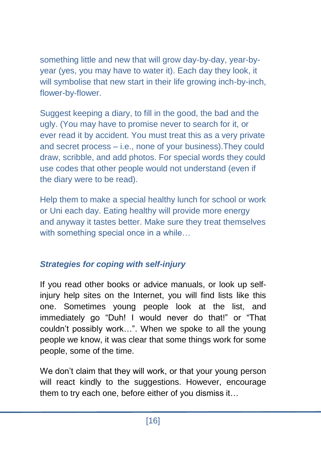something little and new that will grow day-by-day, year-byyear (yes, you may have to water it). Each day they look, it will symbolise that new start in their life growing inch-by-inch, flower-by-flower.

Suggest keeping a diary, to fill in the good, the bad and the ugly. (You may have to promise never to search for it, or ever read it by accident. You must treat this as a very private and secret process – i.e., none of your business).They could draw, scribble, and add photos. For special words they could use codes that other people would not understand (even if the diary were to be read).

Help them to make a special healthy lunch for school or work or Uni each day. Eating healthy will provide more energy and anyway it tastes better. Make sure they treat themselves with something special once in a while...

#### *Strategies for coping with self-injury*

If you read other books or advice manuals, or look up selfinjury help sites on the Internet, you will find lists like this one. Sometimes young people look at the list, and immediately go "Duh! I would never do that!" or "That couldn't possibly work…". When we spoke to all the young people we know, it was clear that some things work for some people, some of the time.

We don't claim that they will work, or that your young person will react kindly to the suggestions. However, encourage them to try each one, before either of you dismiss it…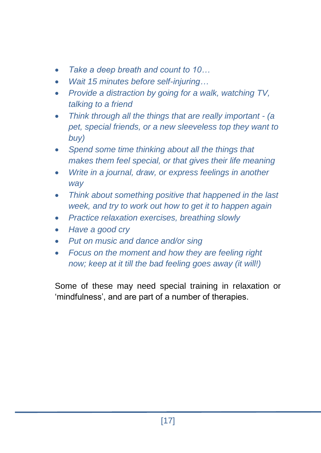- *Take a deep breath and count to 10…*
- *Wait 15 minutes before self-injuring…*
- *Provide a distraction by going for a walk, watching TV, talking to a friend*
- *Think through all the things that are really important - (a pet, special friends, or a new sleeveless top they want to buy)*
- *Spend some time thinking about all the things that makes them feel special, or that gives their life meaning*
- *Write in a journal, draw, or express feelings in another way*
- *Think about something positive that happened in the last week, and try to work out how to get it to happen again*
- *Practice relaxation exercises, breathing slowly*
- *Have a good cry*
- *Put on music and dance and/or sing*
- *Focus on the moment and how they are feeling right now; keep at it till the bad feeling goes away (it will!)*

Some of these may need special training in relaxation or 'mindfulness', and are part of a number of therapies.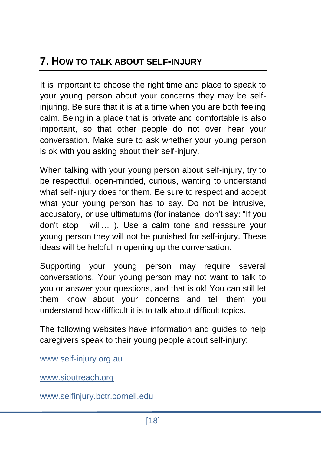## **7. HOW TO TALK ABOUT SELF-INJURY**

It is important to choose the right time and place to speak to your young person about your concerns they may be selfinjuring. Be sure that it is at a time when you are both feeling calm. Being in a place that is private and comfortable is also important, so that other people do not over hear your conversation. Make sure to ask whether your young person is ok with you asking about their self-injury.

When talking with your young person about self-injury, try to be respectful, open-minded, curious, wanting to understand what self-injury does for them. Be sure to respect and accept what your young person has to say. Do not be intrusive, accusatory, or use ultimatums (for instance, don't say: "If you don't stop I will… ). Use a calm tone and reassure your young person they will not be punished for self-injury. These ideas will be helpful in opening up the conversation.

Supporting your young person may require several conversations. Your young person may not want to talk to you or answer your questions, and that is ok! You can still let them know about your concerns and tell them you understand how difficult it is to talk about difficult topics.

The following websites have information and guides to help caregivers speak to their young people about self-injury:

[www.self-injury.org.au](http://www.self-injury.org.au/)

[www.sioutreach.org](http://www.sioutreach.org/)

[www.selfinjury.bctr.cornell.edu](http://www.selfinjury.bctr.cornell.edu/)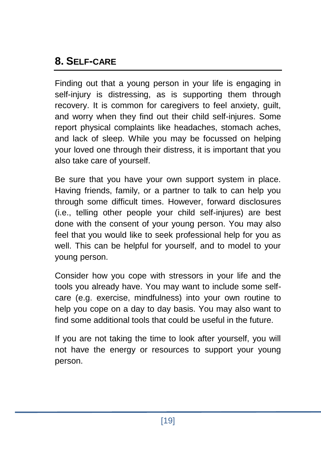## **8. SELF-CARE**

Finding out that a young person in your life is engaging in self-injury is distressing, as is supporting them through recovery. It is common for caregivers to feel anxiety, guilt, and worry when they find out their child self-injures. Some report physical complaints like headaches, stomach aches, and lack of sleep. While you may be focussed on helping your loved one through their distress, it is important that you also take care of yourself.

Be sure that you have your own support system in place. Having friends, family, or a partner to talk to can help you through some difficult times. However, forward disclosures (i.e., telling other people your child self-injures) are best done with the consent of your young person. You may also feel that you would like to seek professional help for you as well. This can be helpful for yourself, and to model to your young person.

Consider how you cope with stressors in your life and the tools you already have. You may want to include some selfcare (e.g. exercise, mindfulness) into your own routine to help you cope on a day to day basis. You may also want to find some additional tools that could be useful in the future.

If you are not taking the time to look after yourself, you will not have the energy or resources to support your young person.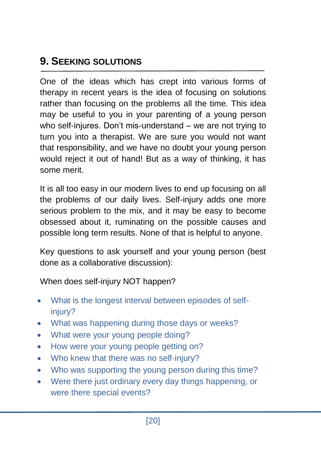## **9. SEEKING SOLUTIONS**

One of the ideas which has crept into various forms of therapy in recent years is the idea of focusing on solutions rather than focusing on the problems all the time. This idea may be useful to you in your parenting of a young person who self-injures. Don't mis-understand – we are not trying to turn you into a therapist. We are sure you would not want that responsibility, and we have no doubt your young person would reject it out of hand! But as a way of thinking, it has some merit.

It is all too easy in our modern lives to end up focusing on all the problems of our daily lives. Self-injury adds one more serious problem to the mix, and it may be easy to become obsessed about it, ruminating on the possible causes and possible long term results. None of that is helpful to anyone.

Key questions to ask yourself and your young person (best done as a collaborative discussion):

When does self-injury NOT happen?

- What is the longest interval between episodes of selfinjury?
- What was happening during those days or weeks?
- What were your young people doing?
- How were your young people getting on?
- Who knew that there was no self-injury?
- Who was supporting the young person during this time?
- Were there just ordinary every day things happening, or were there special events?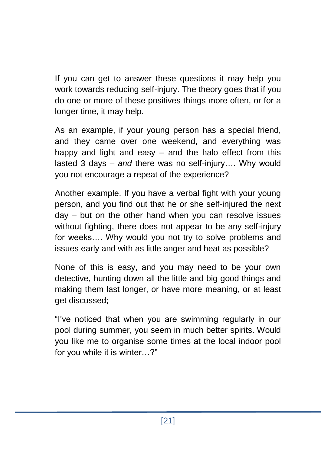If you can get to answer these questions it may help you work towards reducing self-injury. The theory goes that if you do one or more of these positives things more often, or for a longer time, it may help.

As an example, if your young person has a special friend, and they came over one weekend, and everything was happy and light and easy – and the halo effect from this lasted 3 days – *and* there was no self-injury…. Why would you not encourage a repeat of the experience?

Another example. If you have a verbal fight with your young person, and you find out that he or she self-injured the next day – but on the other hand when you can resolve issues without fighting, there does not appear to be any self-injury for weeks…. Why would you not try to solve problems and issues early and with as little anger and heat as possible?

None of this is easy, and you may need to be your own detective, hunting down all the little and big good things and making them last longer, or have more meaning, or at least get discussed;

"I've noticed that when you are swimming regularly in our pool during summer, you seem in much better spirits. Would you like me to organise some times at the local indoor pool for you while it is winter…?"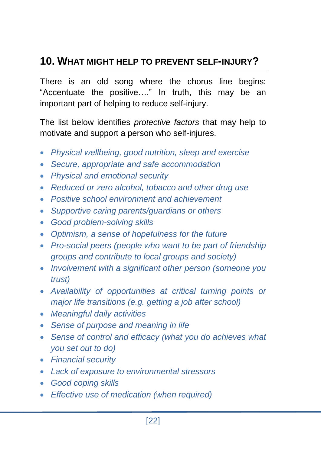## **10. WHAT MIGHT HELP TO PREVENT SELF-INJURY?**

There is an old song where the chorus line begins: "Accentuate the positive…." In truth, this may be an important part of helping to reduce self-injury.

The list below identifies *protective factors* that may help to motivate and support a person who self-injures.

- *Physical wellbeing, good nutrition, sleep and exercise*
- *Secure, appropriate and safe accommodation*
- *Physical and emotional security*
- *Reduced or zero alcohol, tobacco and other drug use*
- *Positive school environment and achievement*
- *Supportive caring parents/guardians or others*
- *Good problem-solving skills*
- *Optimism, a sense of hopefulness for the future*
- *Pro-social peers (people who want to be part of friendship groups and contribute to local groups and society)*
- *Involvement with a significant other person (someone you trust)*
- *Availability of opportunities at critical turning points or major life transitions (e.g. getting a job after school)*
- *Meaningful daily activities*
- *Sense of purpose and meaning in life*
- *Sense of control and efficacy (what you do achieves what you set out to do)*
- *Financial security*
- *Lack of exposure to environmental stressors*
- *Good coping skills*
- *Effective use of medication (when required)*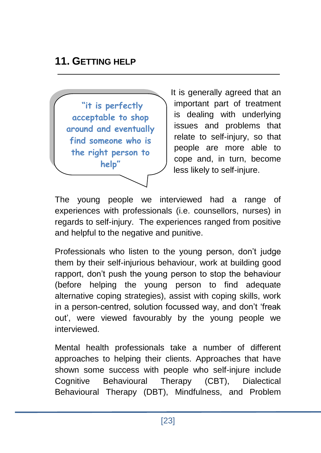#### **11. GETTING HELP**

**"it is perfectly acceptable to shop around and eventually find someone who is the right person to help"**

It is generally agreed that an important part of treatment is dealing with underlying issues and problems that relate to self-injury, so that people are more able to cope and, in turn, become less likely to self-injure.

The young people we interviewed had a range of experiences with professionals (i.e. counsellors, nurses) in regards to self-injury. The experiences ranged from positive and helpful to the negative and punitive.

Professionals who listen to the young person, don't judge them by their self-injurious behaviour, work at building good rapport, don't push the young person to stop the behaviour (before helping the young person to find adequate alternative coping strategies), assist with coping skills, work in a person-centred, solution focussed way, and don't 'freak out', were viewed favourably by the young people we interviewed.

Mental health professionals take a number of different approaches to helping their clients. Approaches that have shown some success with people who self-injure include Cognitive Behavioural Therapy (CBT), Dialectical Behavioural Therapy (DBT), Mindfulness, and Problem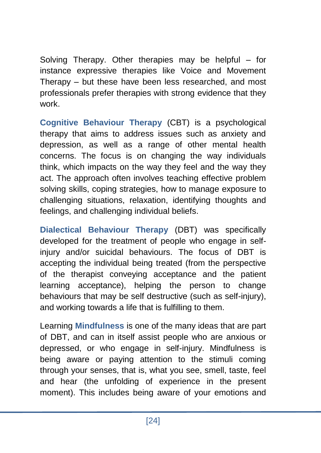Solving Therapy. Other therapies may be helpful – for instance expressive therapies like Voice and Movement Therapy – but these have been less researched, and most professionals prefer therapies with strong evidence that they work.

**Cognitive Behaviour Therapy** (CBT) is a psychological therapy that aims to address issues such as anxiety and depression, as well as a range of other mental health concerns. The focus is on changing the way individuals think, which impacts on the way they feel and the way they act. The approach often involves teaching effective problem solving skills, coping strategies, how to manage exposure to challenging situations, relaxation, identifying thoughts and feelings, and challenging individual beliefs.

**Dialectical Behaviour Therapy** (DBT) was specifically developed for the treatment of people who engage in selfinjury and/or suicidal behaviours. The focus of DBT is accepting the individual being treated (from the perspective of the therapist conveying acceptance and the patient learning acceptance), helping the person to change behaviours that may be self destructive (such as self-injury), and working towards a life that is fulfilling to them.

Learning **Mindfulness** is one of the many ideas that are part of DBT, and can in itself assist people who are anxious or depressed, or who engage in self-injury. Mindfulness is being aware or paying attention to the stimuli coming through your senses, that is, what you see, smell, taste, feel and hear (the unfolding of experience in the present moment). This includes being aware of your emotions and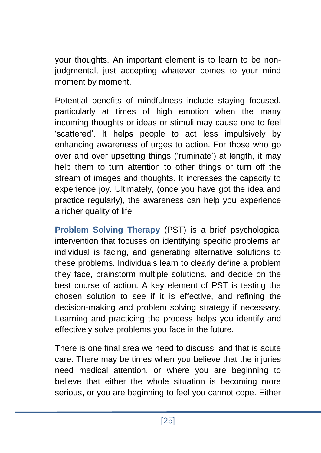your thoughts. An important element is to learn to be nonjudgmental, just accepting whatever comes to your mind moment by moment.

Potential benefits of mindfulness include staying focused, particularly at times of high emotion when the many incoming thoughts or ideas or stimuli may cause one to feel 'scattered'. It helps people to act less impulsively by enhancing awareness of urges to action. For those who go over and over upsetting things ('ruminate') at length, it may help them to turn attention to other things or turn off the stream of images and thoughts. It increases the capacity to experience joy. Ultimately, (once you have got the idea and practice regularly), the awareness can help you experience a richer quality of life.

**Problem Solving Therapy** (PST) is a brief psychological intervention that focuses on identifying specific problems an individual is facing, and generating alternative solutions to these problems. Individuals learn to clearly define a problem they face, brainstorm multiple solutions, and decide on the best course of action. A key element of PST is testing the chosen solution to see if it is effective, and refining the decision-making and problem solving strategy if necessary. Learning and practicing the process helps you identify and effectively solve problems you face in the future.

There is one final area we need to discuss, and that is acute care. There may be times when you believe that the injuries need medical attention, or where you are beginning to believe that either the whole situation is becoming more serious, or you are beginning to feel you cannot cope. Either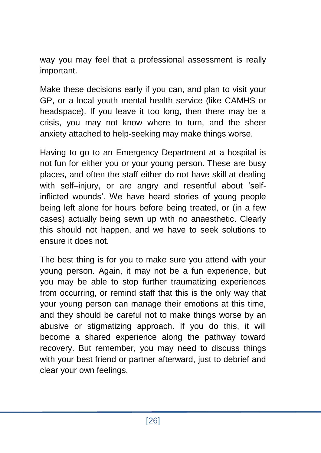way you may feel that a professional assessment is really important.

Make these decisions early if you can, and plan to visit your GP, or a local youth mental health service (like CAMHS or headspace). If you leave it too long, then there may be a crisis, you may not know where to turn, and the sheer anxiety attached to help-seeking may make things worse.

Having to go to an Emergency Department at a hospital is not fun for either you or your young person. These are busy places, and often the staff either do not have skill at dealing with self–injury, or are angry and resentful about 'selfinflicted wounds'. We have heard stories of young people being left alone for hours before being treated, or (in a few cases) actually being sewn up with no anaesthetic. Clearly this should not happen, and we have to seek solutions to ensure it does not.

The best thing is for you to make sure you attend with your young person. Again, it may not be a fun experience, but you may be able to stop further traumatizing experiences from occurring, or remind staff that this is the only way that your young person can manage their emotions at this time, and they should be careful not to make things worse by an abusive or stigmatizing approach. If you do this, it will become a shared experience along the pathway toward recovery. But remember, you may need to discuss things with your best friend or partner afterward, just to debrief and clear your own feelings.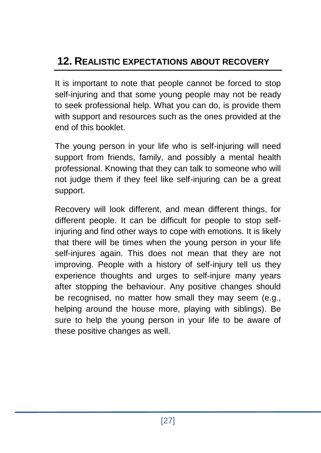## **12. REALISTIC EXPECTATIONS ABOUT RECOVERY**

It is important to note that people cannot be forced to stop self-injuring and that some young people may not be ready to seek professional help. What you can do, is provide them with support and resources such as the ones provided at the end of this booklet.

The young person in your life who is self-injuring will need support from friends, family, and possibly a mental health professional. Knowing that they can talk to someone who will not judge them if they feel like self-injuring can be a great support.

Recovery will look different, and mean different things, for different people. It can be difficult for people to stop selfinjuring and find other ways to cope with emotions. It is likely that there will be times when the young person in your life self-injures again. This does not mean that they are not improving. People with a history of self-injury tell us they experience thoughts and urges to self-injure many years after stopping the behaviour. Any positive changes should be recognised, no matter how small they may seem (e.g., helping around the house more, playing with siblings). Be sure to help the young person in your life to be aware of these positive changes as well.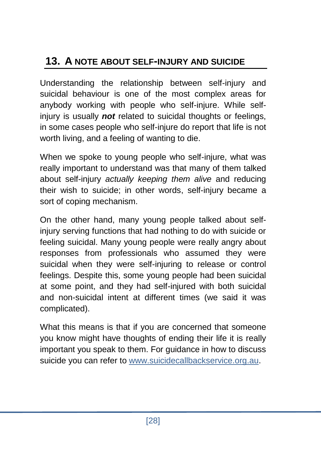## **13. A NOTE ABOUT SELF-INJURY AND SUICIDE**

Understanding the relationship between self-injury and suicidal behaviour is one of the most complex areas for anybody working with people who self-injure. While selfinjury is usually *not* related to suicidal thoughts or feelings, in some cases people who self-injure do report that life is not worth living, and a feeling of wanting to die.

When we spoke to young people who self-injure, what was really important to understand was that many of them talked about self-injury *actually keeping them alive* and reducing their wish to suicide; in other words, self-injury became a sort of coping mechanism.

On the other hand, many young people talked about selfinjury serving functions that had nothing to do with suicide or feeling suicidal. Many young people were really angry about responses from professionals who assumed they were suicidal when they were self-injuring to release or control feelings. Despite this, some young people had been suicidal at some point, and they had self-injured with both suicidal and non-suicidal intent at different times (we said it was complicated).

What this means is that if you are concerned that someone you know might have thoughts of ending their life it is really important you speak to them. For guidance in how to discuss suicide you can refer to [www.suicidecallbackservice.org.au.](../../../../Library/Containers/com.apple.mail/Data/Library/Mail%20Downloads/Downloads/www.suicidecallbackservice.org.au)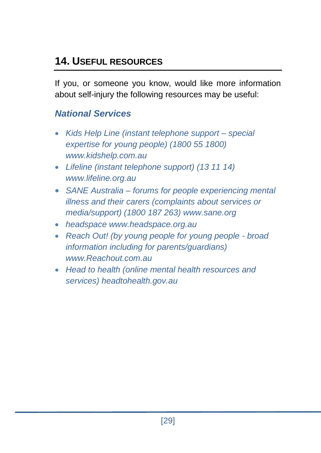## **14. USEFUL RESOURCES**

If you, or someone you know, would like more information about self-injury the following resources may be useful:

#### *National Services*

- *Kids Help Line (instant telephone support – special expertise for young people) (1800 55 1800) [www.kidshelp.com.au](http://www.kidshelp.com.au/#_blank)*
- *Lifeline (instant telephone support) (13 11 14) www.lifeline.org.au*
- *SANE Australia – forums for people experiencing mental illness and their carers (complaints about services or media/support) (1800 187 263) www.sane.org*
- *headspace [www.headspace.org.au](http://www.headspace.org.au/)*
- *Reach Out! (by young people for young people - broad information including for parents/guardians) www.Reachout.com.au*
- *Head to health (online mental health resources and services) headtohealth.gov.au*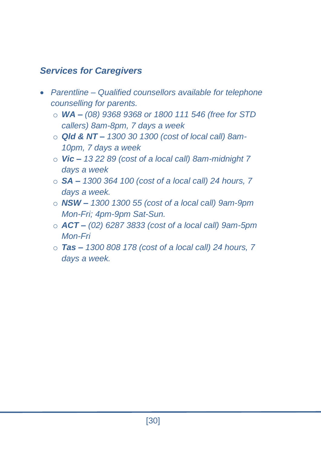#### *Services for Caregivers*

- *Parentline – Qualified counsellors available for telephone counselling for parents.*
	- o *WA – (08) 9368 9368 or 1800 111 546 (free for STD callers) 8am-8pm, 7 days a week*
	- o *Qld & NT – 1300 30 1300 (cost of local call) 8am-10pm, 7 days a week*
	- o *Vic – 13 22 89 (cost of a local call) 8am-midnight 7 days a week*
	- o *SA – 1300 364 100 (cost of a local call) 24 hours, 7 days a week.*
	- o *NSW – 1300 1300 55 (cost of a local call) 9am-9pm Mon-Fri; 4pm-9pm Sat-Sun.*
	- o *ACT – (02) 6287 3833 (cost of a local call) 9am-5pm Mon-Fri*
	- o *Tas – 1300 808 178 (cost of a local call) 24 hours, 7 days a week.*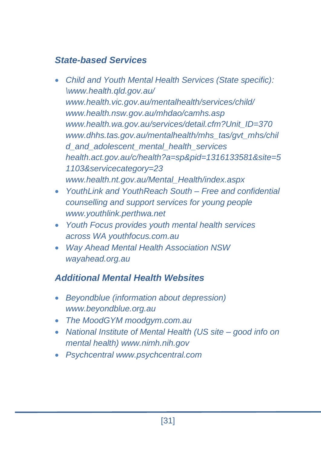#### *State-based Services*

- *Child and Youth Mental Health Services (State specific): [\www.health.qld.gov.au/](http://www.health.qld.gov.au/) www.health.vic.gov.au/mentalhealth/services/child/ www.health.nsw.gov.au/mhdao/camhs.asp [www.health.wa.gov.au/services/detail.cfm?Unit\\_ID=370](http://www.health.wa.gov.au/services/detail.cfm?Unit_ID=370) [www.dhhs.tas.gov.au/mentalhealth/mhs\\_tas/gvt\\_mhs/chil](http://www.dhhs.tas.gov.au/mentalhealth/mhs_tas/gvt_mhs/child_and_adolescent_mental_health_services) [d\\_and\\_adolescent\\_mental\\_health\\_services](http://www.dhhs.tas.gov.au/mentalhealth/mhs_tas/gvt_mhs/child_and_adolescent_mental_health_services) [health.act.gov.au/c/health?a=sp&pid=1316133581&site=5](http://health.act.gov.au/c/health?a=sp&pid=1316133581&site=51103&servicecategory=23) [1103&servicecategory=23](http://health.act.gov.au/c/health?a=sp&pid=1316133581&site=51103&servicecategory=23) [www.health.nt.gov.au/Mental\\_Health/index.aspx](http://www.health.nt.gov.au/Mental_Health/index.aspx)*
- *YouthLink and YouthReach South – Free and confidential counselling and support services for young people www.youthlink.perthwa.net*
- *Youth Focus provides youth mental health services across WA youthfocus.com.au*
- *Way Ahead Mental Health Association NSW wayahead.org.au*

#### *Additional Mental Health Websites*

- *Beyondblue (information about depression) [www.beyondblue.org.au](http://www.beyondblue.org.au/#_blank)*
- *The MoodGYM moodgym.com.au*
- *National Institute of Mental Health (US site – good info on mental health) www.nimh.nih.gov*
- *Psychcentral www.psychcentral.com*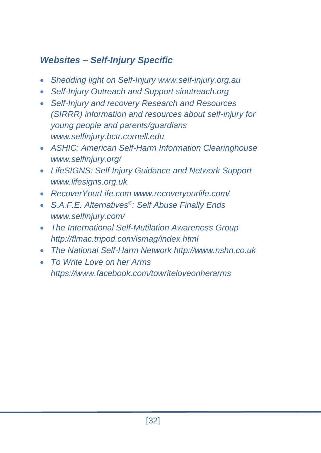#### *Websites – Self-Injury Specific*

- *Shedding light on Self-Injury www.self-injury.org.au*
- *Self-Injury Outreach and Support sioutreach.org*
- *Self-Injury and recovery Research and Resources (SIRRR) information and resources about self-injury for young people and parents/guardians www.selfinjury.bctr.cornell.edu*
- *ASHIC: American Self-Harm Information Clearinghouse www.selfinjury.org/*
- *LifeSIGNS: Self Injury Guidance and Network Support www.lifesigns.org.uk*
- *RecoverYourLife.com www.recoveryourlife.com/*
- *S.A.F.E. Alternatives® : Self Abuse Finally Ends www.selfinjury.com/*
- *The International Self-Mutilation Awareness Group http://flmac.tripod.com/ismag/index.html*
- *The National Self-Harm Network http://www.nshn.co.uk*
- *To Write Love on her Arms https://www.facebook.com/towriteloveonherarms*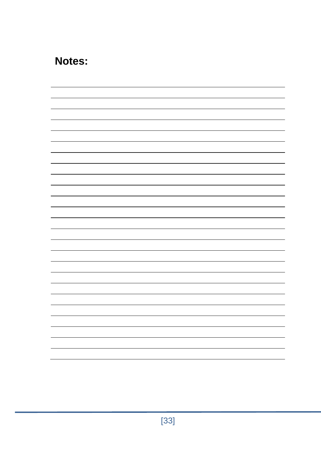## **Notes:**